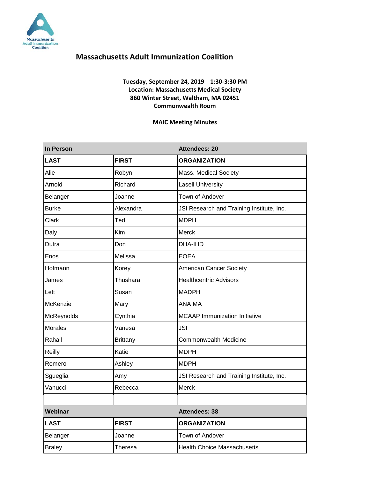

### **Tuesday, September 24, 2019 1:30-3:30 PM Location: Massachusetts Medical Society 860 Winter Street, Waltham, MA 02451 Commonwealth Room**

#### **MAIC Meeting Minutes**

| In Person      |                 | Attendees: 20                             |
|----------------|-----------------|-------------------------------------------|
| <b>LAST</b>    | <b>FIRST</b>    | <b>ORGANIZATION</b>                       |
| Alie           | Robyn           | Mass. Medical Society                     |
| Arnold         | Richard         | <b>Lasell University</b>                  |
| Belanger       | Joanne          | Town of Andover                           |
| <b>Burke</b>   | Alexandra       | JSI Research and Training Institute, Inc. |
| Clark          | Ted             | <b>MDPH</b>                               |
| Daly           | Kim             | Merck                                     |
| Dutra          | Don             | DHA-IHD                                   |
| Enos           | Melissa         | <b>EOEA</b>                               |
| Hofmann        | Korey           | <b>American Cancer Society</b>            |
| James          | Thushara        | <b>Healthcentric Advisors</b>             |
| Lett           | Susan           | <b>MADPH</b>                              |
| McKenzie       | Mary            | ANA MA                                    |
| McReynolds     | Cynthia         | <b>MCAAP Immunization Initiative</b>      |
| <b>Morales</b> | Vanesa          | <b>JSI</b>                                |
| Rahall         | <b>Brittany</b> | <b>Commonwealth Medicine</b>              |
| Reilly         | Katie           | <b>MDPH</b>                               |
| Romero         | Ashley          | <b>MDPH</b>                               |
| Sgueglia       | Amy             | JSI Research and Training Institute, Inc. |
| Vanucci        | Rebecca         | Merck                                     |
|                |                 |                                           |
| Webinar        |                 | <b>Attendees: 38</b>                      |
| <b>LAST</b>    | <b>FIRST</b>    | <b>ORGANIZATION</b>                       |
| Belanger       | Joanne          | Town of Andover                           |
| <b>Braley</b>  | Theresa         | <b>Health Choice Massachusetts</b>        |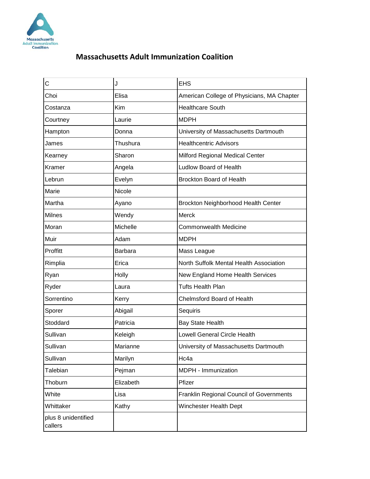

| С                              | J              | <b>EHS</b>                                 |
|--------------------------------|----------------|--------------------------------------------|
| Choi                           | Elisa          | American College of Physicians, MA Chapter |
| Costanza                       | Kim            | <b>Healthcare South</b>                    |
| Courtney                       | Laurie         | <b>MDPH</b>                                |
| Hampton                        | Donna          | University of Massachusetts Dartmouth      |
| James                          | Thushura       | <b>Healthcentric Advisors</b>              |
| Kearney                        | Sharon         | Milford Regional Medical Center            |
| Kramer                         | Angela         | Ludlow Board of Health                     |
| Lebrun                         | Evelyn         | <b>Brockton Board of Health</b>            |
| Marie                          | Nicole         |                                            |
| Martha                         | Ayano          | Brockton Neighborhood Health Center        |
| <b>Milnes</b>                  | Wendy          | <b>Merck</b>                               |
| Moran                          | Michelle       | <b>Commonwealth Medicine</b>               |
| Muir                           | Adam           | <b>MDPH</b>                                |
| Proffitt                       | <b>Barbara</b> | Mass League                                |
| Rimplia                        | Erica          | North Suffolk Mental Health Association    |
| Ryan                           | Holly          | New England Home Health Services           |
| Ryder                          | Laura          | <b>Tufts Health Plan</b>                   |
| Sorrentino                     | Kerry          | <b>Chelmsford Board of Health</b>          |
| Sporer                         | Abigail        | Sequiris                                   |
| Stoddard                       | Patricia       | Bay State Health                           |
| Sullivan                       | Keleigh        | Lowell General Circle Health               |
| Sullivan                       | Marianne       | University of Massachusetts Dartmouth      |
| Sullivan                       | Marilyn        | Hc4a                                       |
| Talebian                       | Pejman         | MDPH - Immunization                        |
| Thoburn                        | Elizabeth      | Pfizer                                     |
| White                          | Lisa           | Franklin Regional Council of Governments   |
| Whittaker                      | Kathy          | Winchester Health Dept                     |
| plus 8 unidentified<br>callers |                |                                            |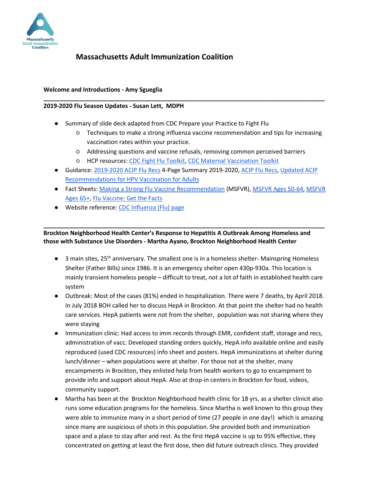

### **Welcome and Introductions - Amy Sgueglia**

#### **2019-2020 Flu Season Updates - Susan Lett, MDPH**

- Summary of slide deck adapted from CDC Prepare your Practice to Fight Flu
	- Techniques to make a strong influenza vaccine recommendation and tips for increasing vaccination rates within your practice.
	- Addressing questions and vaccine refusals, removing common perceived barriers

**\_\_\_\_\_\_\_\_\_\_\_\_\_\_\_\_\_\_\_\_\_\_\_\_\_\_\_\_\_\_\_\_\_\_\_\_\_\_\_\_\_\_\_\_\_\_\_\_\_\_\_\_\_\_\_\_\_\_\_\_\_\_\_\_\_\_\_\_\_\_\_\_\_\_\_\_\_\_\_\_\_\_\_\_\_**

- HCP resources: [CDC Fight Flu Toolkit,](https://www.cdc.gov/flu/professionals/vaccination/prepare-practice-tools.htm) [CDC Maternal Vaccination Toolkit](https://www.cdc.gov/vaccines/pregnancy/hcp-toolkit/index.html)
- Guidance[: 2019-2020 ACIP Flu Recs](https://www.cdc.gov/flu/pdf/professionals/acip/acip-2019-20-summary-of-recommendations.pdf) 4-Page Summary 2019-2020, [ACIP Flu Recs,](https://www.cdc.gov/mmwr/volumes/68/rr/pdfs/rr6803-H.pdf) [Updated ACIP](https://www.cdc.gov/mmwr/volumes/68/wr/pdfs/mm6832a3-H.pdf)  [Recommendations for HPV Vaccination for Adults](https://www.cdc.gov/mmwr/volumes/68/wr/pdfs/mm6832a3-H.pdf)
- Fact Sheets: [Making a Strong Flu Vaccine Recommendation](https://www.cdc.gov/flu/pdf/professionals/vaccination/flu-vaccine-rec_2019.pdf) (MSFVR), [MSFVR Ages 50-64,](https://www.cdc.gov/flu/pdf/professionals/vaccination/flu-vaccine-rec-50-64_2019.pdf) [MSFVR](https://www.cdc.gov/flu/pdf/professionals/vaccination/flu-vaccine-rec-65_2019.pdf)  [Ages 65+,](https://www.cdc.gov/flu/pdf/professionals/vaccination/flu-vaccine-rec-65_2019.pdf) [Flu Vaccine: Get the Facts](https://www.cdc.gov/flu/pdf/professionals/vaccination/get-the-facts.pdf)
- Website reference: [CDC Influenza \(Flu\) page](https://www.cdc.gov/flu/professionals/vaccination/flu-vaccine-recommendation.htm)

## **Brockton Neighborhood Health Center's Response to Hepatitis A Outbreak Among Homeless and those with Substance Use Disorders - Martha Ayano, Brockton Neighborhood Health Center**

**\_\_\_\_\_\_\_\_\_\_\_\_\_\_\_\_\_\_\_\_\_\_\_\_\_\_\_\_\_\_\_\_\_\_\_\_\_\_\_\_\_\_\_\_\_\_\_\_\_\_\_\_\_\_\_\_\_\_\_\_\_\_\_\_\_\_\_\_\_\_\_\_\_\_\_\_\_\_\_\_\_\_\_\_\_**

- $\bullet$  3 main sites, 25<sup>th</sup> anniversary. The smallest one is in a homeless shelter- Mainspring Homeless Shelter (Father Bills) since 1986. It is an emergency shelter open 430p-930a. This location is mainly transient homeless people – difficult to treat, not a lot of faith in established health care system
- Outbreak: Most of the cases (81%) ended in hospitalization. There were 7 deaths, by April 2018. In July 2018 BOH called her to discuss HepA in Brockton. At that point the shelter had no health care services. HepA patients were not from the shelter, population was not sharing where they were staying
- Immunization clinic: Had access to imm records through EMR, confident staff, storage and recs, administration of vacc. Developed standing orders quickly, HepA info available online and easily reproduced (used CDC resources) info sheet and posters. HepA immunizations at shelter during lunch/dinner – when populations were at shelter. For those not at the shelter, many encampments in Brockton, they enlisted help from health workers to go to encampment to provide info and support about HepA. Also at drop-in centers in Brockton for food, videos, community support.
- Martha has been at the Brockton Neighborhood health clinic for 18 yrs, as a shelter clinicit also runs some education programs for the homeless. Since Martha is well known to this group they were able to immunize many in a short period of time (27 people in one day!) which is amazing since many are suspicious of shots in this population. She provided both and immunization space and a place to stay after and rest. As the first HepA vaccine is up to 95% effective, they concentrated on getting at least the first dose, then did future outreach clinics. They provided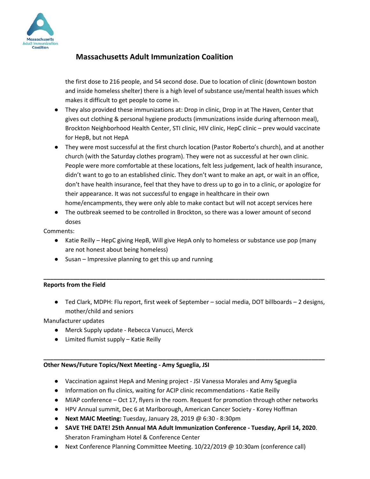

the first dose to 216 people, and 54 second dose. Due to location of clinic (downtown boston and inside homeless shelter) there is a high level of substance use/mental health issues which makes it difficult to get people to come in.

- They also provided these immunizations at: Drop in clinic, Drop in at The Haven, Center that gives out clothing & personal hygiene products (immunizations inside during afternoon meal), Brockton Neighborhood Health Center, STI clinic, HIV clinic, HepC clinic – prev would vaccinate for HepB, but not HepA
- They were most successful at the first church location (Pastor Roberto's church), and at another church (with the Saturday clothes program). They were not as successful at her own clinic. People were more comfortable at these locations, felt less judgement, lack of health insurance, didn't want to go to an established clinic. They don't want to make an apt, or wait in an office, don't have health insurance, feel that they have to dress up to go in to a clinic, or apologize for their appearance. It was not successful to engage in healthcare in their own home/encampments, they were only able to make contact but will not accept services here
- The outbreak seemed to be controlled in Brockton, so there was a lower amount of second doses

Comments:

● Katie Reilly – HepC giving HepB, Will give HepA only to homeless or substance use pop (many are not honest about being homeless)

**\_\_\_\_\_\_\_\_\_\_\_\_\_\_\_\_\_\_\_\_\_\_\_\_\_\_\_\_\_\_\_\_\_\_\_\_\_\_\_\_\_\_\_\_\_\_\_\_\_\_\_\_\_\_\_\_\_\_\_\_\_\_\_\_\_\_\_\_\_\_\_\_\_\_\_\_\_\_\_\_\_\_\_\_\_**

● Susan – Impressive planning to get this up and running

## **Reports from the Field**

● Ted Clark, MDPH: Flu report, first week of September – social media, DOT billboards – 2 designs, mother/child and seniors

Manufacturer updates

- Merck Supply update Rebecca Vanucci, Merck
- Limited flumist supply Katie Reilly

#### **\_\_\_\_\_\_\_\_\_\_\_\_\_\_\_\_\_\_\_\_\_\_\_\_\_\_\_\_\_\_\_\_\_\_\_\_\_\_\_\_\_\_\_\_\_\_\_\_\_\_\_\_\_\_\_\_\_\_\_\_\_\_\_\_\_\_\_\_\_\_\_\_\_\_\_\_\_\_\_\_\_\_\_\_\_ Other News/Future Topics/Next Meeting - Amy Sgueglia, JSI**

- Vaccination against HepA and Mening project JSI Vanessa Morales and Amy Sgueglia
- Information on flu clinics, waiting for ACIP clinic recommendations Katie Reilly
- MIAP conference Oct 17, flyers in the room. Request for promotion through other networks
- HPV Annual summit, Dec 6 at Marlborough, American Cancer Society Korey Hoffman
- **Next MAIC Meeting:** Tuesday, January 28, 2019 @ 6:30 8:30pm
- **SAVE THE DATE! 25th Annual MA Adult Immunization Conference - Tuesday, April 14, 2020**. Sheraton Framingham Hotel & Conference Center
- Next Conference Planning Committee Meeting. 10/22/2019 @ 10:30am (conference call)